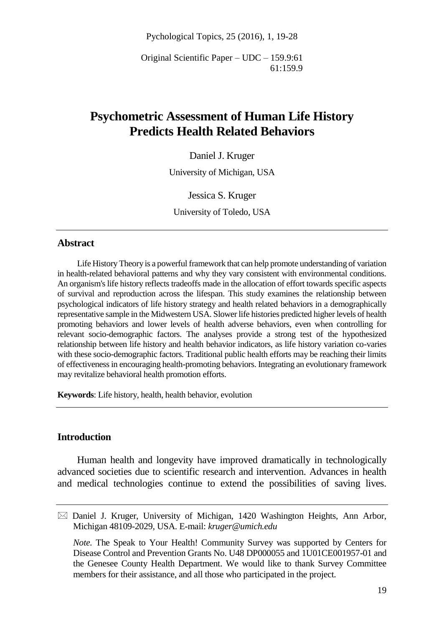Pychological Topics, 25 (2016), 1, 19-28

Original Scientific Paper – UDC – 159.9:61 61:159.9

# **Psychometric Assessment of Human Life History Predicts Health Related Behaviors**

Daniel J. Kruger

University of Michigan, USA

Jessica S. Kruger University of Toledo, USA

### **Abstract**

Life History Theory is a powerful framework that can help promote understanding of variation in health-related behavioral patterns and why they vary consistent with environmental conditions. An organism's life history reflects tradeoffs made in the allocation of effort towards specific aspects of survival and reproduction across the lifespan. This study examines the relationship between psychological indicators of life history strategy and health related behaviors in a demographically representative sample in the Midwestern USA. Slower life histories predicted higher levels of health promoting behaviors and lower levels of health adverse behaviors, even when controlling for relevant socio-demographic factors. The analyses provide a strong test of the hypothesized relationship between life history and health behavior indicators, as life history variation co-varies with these socio-demographic factors. Traditional public health efforts may be reaching their limits of effectiveness in encouraging health-promoting behaviors. Integrating an evolutionary framework may revitalize behavioral health promotion efforts.

**Keywords**: Life history, health, health behavior, evolution

### **Introduction**

Human health and longevity have improved dramatically in technologically advanced societies due to scientific research and intervention. Advances in health and medical technologies continue to extend the possibilities of saving lives.

 $\boxtimes$  Daniel J. Kruger, University of Michigan, 1420 Washington Heights, Ann Arbor, Michigan 48109-2029, USA. E-mail: *kruger@umich.edu*

*Note.* The Speak to Your Health! Community Survey was supported by Centers for Disease Control and Prevention Grants No. U48 DP000055 and 1U01CE001957-01 and the Genesee County Health Department. We would like to thank Survey Committee members for their assistance, and all those who participated in the project.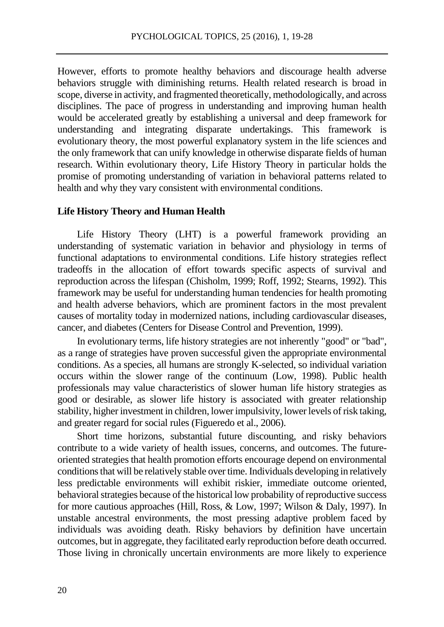However, efforts to promote healthy behaviors and discourage health adverse behaviors struggle with diminishing returns. Health related research is broad in scope, diverse in activity, and fragmented theoretically, methodologically, and across disciplines. The pace of progress in understanding and improving human health would be accelerated greatly by establishing a universal and deep framework for understanding and integrating disparate undertakings. This framework is evolutionary theory, the most powerful explanatory system in the life sciences and the only framework that can unify knowledge in otherwise disparate fields of human research. Within evolutionary theory, Life History Theory in particular holds the promise of promoting understanding of variation in behavioral patterns related to health and why they vary consistent with environmental conditions.

#### **Life History Theory and Human Health**

Life History Theory (LHT) is a powerful framework providing an understanding of systematic variation in behavior and physiology in terms of functional adaptations to environmental conditions. Life history strategies reflect tradeoffs in the allocation of effort towards specific aspects of survival and reproduction across the lifespan (Chisholm, 1999; Roff, 1992; Stearns, 1992). This framework may be useful for understanding human tendencies for health promoting and health adverse behaviors, which are prominent factors in the most prevalent causes of mortality today in modernized nations, including cardiovascular diseases, cancer, and diabetes (Centers for Disease Control and Prevention, 1999).

In evolutionary terms, life history strategies are not inherently "good" or "bad", as a range of strategies have proven successful given the appropriate environmental conditions. As a species, all humans are strongly K-selected, so individual variation occurs within the slower range of the continuum (Low, 1998). Public health professionals may value characteristics of slower human life history strategies as good or desirable, as slower life history is associated with greater relationship stability, higher investment in children, lower impulsivity, lower levels of risk taking, and greater regard for social rules (Figueredo et al., 2006).

Short time horizons, substantial future discounting, and risky behaviors contribute to a wide variety of health issues, concerns, and outcomes. The futureoriented strategies that health promotion efforts encourage depend on environmental conditions that will be relatively stable over time. Individuals developing in relatively less predictable environments will exhibit riskier, immediate outcome oriented, behavioral strategies because of the historical low probability of reproductive success for more cautious approaches (Hill, Ross, & Low, 1997; Wilson & Daly, 1997). In unstable ancestral environments, the most pressing adaptive problem faced by individuals was avoiding death. Risky behaviors by definition have uncertain outcomes, but in aggregate, they facilitated early reproduction before death occurred. Those living in chronically uncertain environments are more likely to experience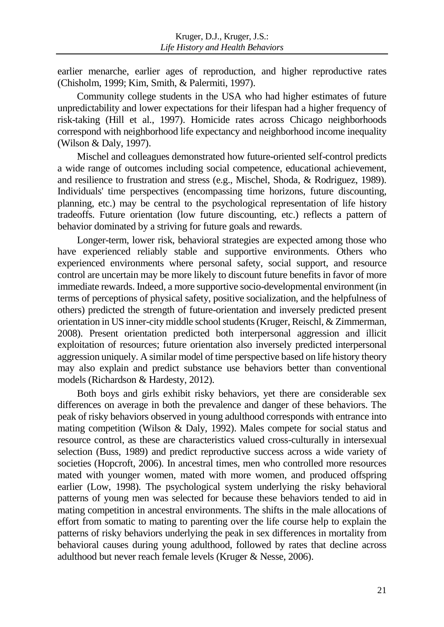earlier menarche, earlier ages of reproduction, and higher reproductive rates (Chisholm, 1999; Kim, Smith, & Palermiti, 1997).

Community college students in the USA who had higher estimates of future unpredictability and lower expectations for their lifespan had a higher frequency of risk-taking (Hill et al., 1997). Homicide rates across Chicago neighborhoods correspond with neighborhood life expectancy and neighborhood income inequality (Wilson & Daly, 1997).

Mischel and colleagues demonstrated how future-oriented self-control predicts a wide range of outcomes including social competence, educational achievement, and resilience to frustration and stress (e.g., Mischel, Shoda, & Rodriguez, 1989). Individuals' time perspectives (encompassing time horizons, future discounting, planning, etc.) may be central to the psychological representation of life history tradeoffs. Future orientation (low future discounting, etc.) reflects a pattern of behavior dominated by a striving for future goals and rewards.

Longer-term, lower risk, behavioral strategies are expected among those who have experienced reliably stable and supportive environments. Others who experienced environments where personal safety, social support, and resource control are uncertain may be more likely to discount future benefits in favor of more immediate rewards. Indeed, a more supportive socio-developmental environment (in terms of perceptions of physical safety, positive socialization, and the helpfulness of others) predicted the strength of future-orientation and inversely predicted present orientation in US inner-city middle school students (Kruger, Reischl, & Zimmerman, 2008). Present orientation predicted both interpersonal aggression and illicit exploitation of resources; future orientation also inversely predicted interpersonal aggression uniquely. A similar model of time perspective based on life history theory may also explain and predict substance use behaviors better than conventional models (Richardson & Hardesty, 2012).

Both boys and girls exhibit risky behaviors, yet there are considerable sex differences on average in both the prevalence and danger of these behaviors. The peak of risky behaviors observed in young adulthood corresponds with entrance into mating competition (Wilson & Daly, 1992). Males compete for social status and resource control, as these are characteristics valued cross-culturally in intersexual selection (Buss, 1989) and predict reproductive success across a wide variety of societies (Hopcroft, 2006). In ancestral times, men who controlled more resources mated with younger women, mated with more women, and produced offspring earlier (Low, 1998). The psychological system underlying the risky behavioral patterns of young men was selected for because these behaviors tended to aid in mating competition in ancestral environments. The shifts in the male allocations of effort from somatic to mating to parenting over the life course help to explain the patterns of risky behaviors underlying the peak in sex differences in mortality from behavioral causes during young adulthood, followed by rates that decline across adulthood but never reach female levels (Kruger & Nesse, 2006).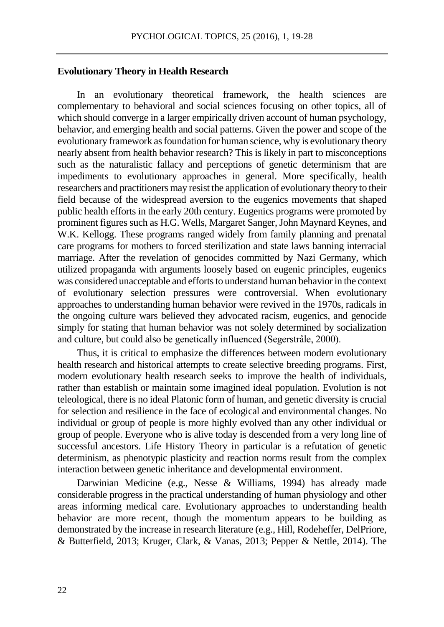### **Evolutionary Theory in Health Research**

In an evolutionary theoretical framework, the health sciences are complementary to behavioral and social sciences focusing on other topics, all of which should converge in a larger empirically driven account of human psychology, behavior, and emerging health and social patterns. Given the power and scope of the evolutionary framework as foundation for human science, why is evolutionary theory nearly absent from health behavior research? This is likely in part to misconceptions such as the naturalistic fallacy and perceptions of genetic determinism that are impediments to evolutionary approaches in general. More specifically, health researchers and practitioners may resist the application of evolutionary theory to their field because of the widespread aversion to the eugenics movements that shaped public health efforts in the early 20th century. Eugenics programs were promoted by prominent figures such as H.G. Wells, Margaret Sanger, John Maynard Keynes, and W.K. Kellogg. These programs ranged widely from family planning and prenatal care programs for mothers to forced sterilization and state laws banning interracial marriage. After the revelation of genocides committed by Nazi Germany, which utilized propaganda with arguments loosely based on eugenic principles, eugenics was considered unacceptable and efforts to understand human behavior in the context of evolutionary selection pressures were controversial. When evolutionary approaches to understanding human behavior were revived in the 1970s, radicals in the ongoing culture wars believed they advocated racism, eugenics, and genocide simply for stating that human behavior was not solely determined by socialization and culture, but could also be genetically influenced (Segerstråle, 2000).

Thus, it is critical to emphasize the differences between modern evolutionary health research and historical attempts to create selective breeding programs. First, modern evolutionary health research seeks to improve the health of individuals, rather than establish or maintain some imagined ideal population. Evolution is not teleological, there is no ideal Platonic form of human, and genetic diversity is crucial for selection and resilience in the face of ecological and environmental changes. No individual or group of people is more highly evolved than any other individual or group of people. Everyone who is alive today is descended from a very long line of successful ancestors. Life History Theory in particular is a refutation of genetic determinism, as phenotypic plasticity and reaction norms result from the complex interaction between genetic inheritance and developmental environment.

Darwinian Medicine (e.g., Nesse & Williams, 1994) has already made considerable progress in the practical understanding of human physiology and other areas informing medical care. Evolutionary approaches to understanding health behavior are more recent, though the momentum appears to be building as demonstrated by the increase in research literature (e.g., Hill, Rodeheffer, DelPriore, & Butterfield, 2013; Kruger, Clark, & Vanas, 2013; Pepper & Nettle, 2014). The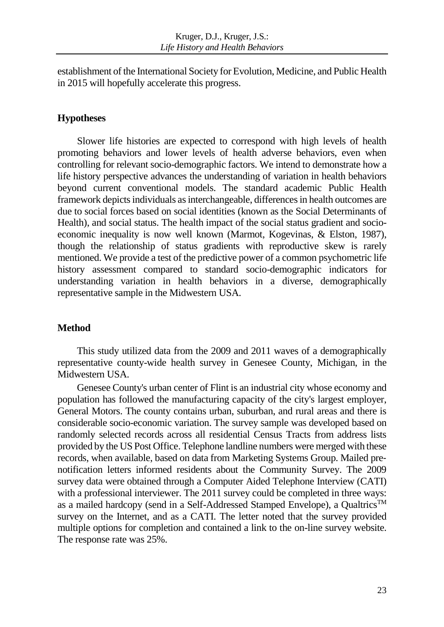establishment of the International Society for Evolution, Medicine, and Public Health in 2015 will hopefully accelerate this progress.

### **Hypotheses**

Slower life histories are expected to correspond with high levels of health promoting behaviors and lower levels of health adverse behaviors, even when controlling for relevant socio-demographic factors. We intend to demonstrate how a life history perspective advances the understanding of variation in health behaviors beyond current conventional models. The standard academic Public Health framework depicts individuals as interchangeable, differences in health outcomes are due to social forces based on social identities (known as the Social Determinants of Health), and social status. The health impact of the social status gradient and socioeconomic inequality is now well known (Marmot, Kogevinas, & Elston, 1987), though the relationship of status gradients with reproductive skew is rarely mentioned. We provide a test of the predictive power of a common psychometric life history assessment compared to standard socio-demographic indicators for understanding variation in health behaviors in a diverse, demographically representative sample in the Midwestern USA.

### **Method**

This study utilized data from the 2009 and 2011 waves of a demographically representative county-wide health survey in Genesee County, Michigan, in the Midwestern USA.

Genesee County's urban center of Flint is an industrial city whose economy and population has followed the manufacturing capacity of the city's largest employer, General Motors. The county contains urban, suburban, and rural areas and there is considerable socio-economic variation. The survey sample was developed based on randomly selected records across all residential Census Tracts from address lists provided by the US Post Office. Telephone landline numbers were merged with these records, when available, based on data from Marketing Systems Group. Mailed pre‐ notification letters informed residents about the Community Survey. The 2009 survey data were obtained through a Computer Aided Telephone Interview (CATI) with a professional interviewer. The 2011 survey could be completed in three ways: as a mailed hardcopy (send in a Self-Addressed Stamped Envelope), a QualtricsTM survey on the Internet, and as a CATI. The letter noted that the survey provided multiple options for completion and contained a link to the on-line survey website. The response rate was 25%.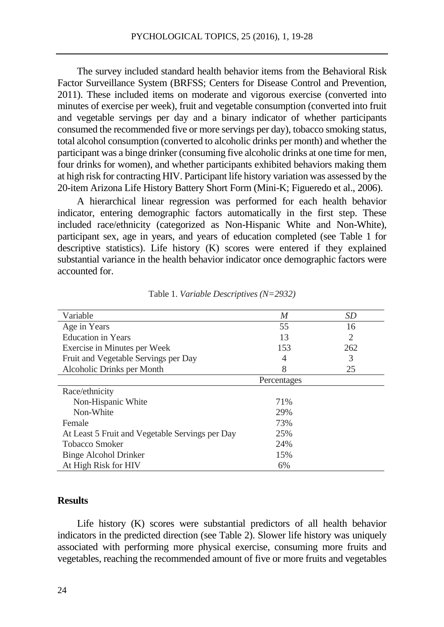The survey included standard health behavior items from the Behavioral Risk Factor Surveillance System (BRFSS; Centers for Disease Control and Prevention, 2011). These included items on moderate and vigorous exercise (converted into minutes of exercise per week), fruit and vegetable consumption (converted into fruit and vegetable servings per day and a binary indicator of whether participants consumed the recommended five or more servings per day), tobacco smoking status, total alcohol consumption (converted to alcoholic drinks per month) and whether the participant was a binge drinker (consuming five alcoholic drinks at one time for men, four drinks for women), and whether participants exhibited behaviors making them at high risk for contracting HIV. Participant life history variation was assessed by the 20-item Arizona Life History Battery Short Form (Mini-K; Figueredo et al., 2006).

A hierarchical linear regression was performed for each health behavior indicator, entering demographic factors automatically in the first step. These included race/ethnicity (categorized as Non-Hispanic White and Non-White), participant sex, age in years, and years of education completed (see Table 1 for descriptive statistics). Life history (K) scores were entered if they explained substantial variance in the health behavior indicator once demographic factors were accounted for.

| Variable                                        | M           | SD  |
|-------------------------------------------------|-------------|-----|
| Age in Years                                    | 55          | 16  |
| <b>Education in Years</b>                       | 13          | 2   |
| Exercise in Minutes per Week                    | 153         | 262 |
| Fruit and Vegetable Servings per Day            | 4           | 3   |
| Alcoholic Drinks per Month                      | 8           | 25  |
|                                                 | Percentages |     |
| Race/ethnicity                                  |             |     |
| Non-Hispanic White                              | 71%         |     |
| Non-White                                       | 29%         |     |
| Female                                          | 73%         |     |
| At Least 5 Fruit and Vegetable Servings per Day | 25%         |     |
| <b>Tobacco Smoker</b>                           | 24%         |     |
| Binge Alcohol Drinker                           | 15%         |     |
| At High Risk for HIV                            | 6%          |     |

Table 1. *Variable Descriptives (N=2932)*

### **Results**

Life history (K) scores were substantial predictors of all health behavior indicators in the predicted direction (see Table 2). Slower life history was uniquely associated with performing more physical exercise, consuming more fruits and vegetables, reaching the recommended amount of five or more fruits and vegetables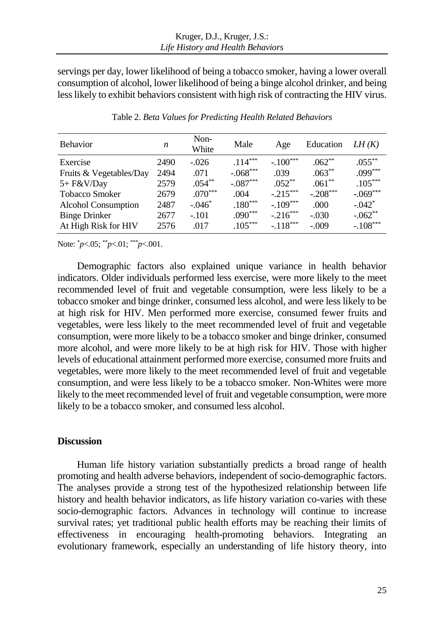servings per day, lower likelihood of being a tobacco smoker, having a lower overall consumption of alcohol, lower likelihood of being a binge alcohol drinker, and being less likely to exhibit behaviors consistent with high risk of contracting the HIV virus.

| <b>Behavior</b>            | n    | Non-<br>White | Male       | Age        | Education  | LH(K)      |
|----------------------------|------|---------------|------------|------------|------------|------------|
| Exercise                   | 2490 | $-.026$       | $.114***$  | $-.100***$ | $.062**$   | $.055***$  |
| Fruits & Vegetables/Day    | 2494 | .071          | $-.068***$ | .039       | $.063***$  | $.099***$  |
| 5+ F&V/Day                 | 2579 | $.054***$     | $-.087***$ | $.052***$  | $.061**$   | $.105***$  |
| <b>Tobacco Smoker</b>      | 2679 | $.070***$     | .004       | $-.215***$ | $-.208***$ | $-.069***$ |
| <b>Alcohol Consumption</b> | 2487 | $-.046*$      | $.180***$  | $-.109***$ | .000.      | $-.042*$   |
| <b>Binge Drinker</b>       | 2677 | $-.101$       | $.090***$  | $-.216***$ | $-.030$    | $-.062**$  |
| At High Risk for HIV       | 2576 | .017          | $.105***$  | $-118***$  | $-.009$    | $-.108***$ |

Table 2. *Beta Values for Predicting Health Related Behaviors*

Note: \**p*<.05; \*\**p*<.01; \*\*\**p*<.001.

Demographic factors also explained unique variance in health behavior indicators. Older individuals performed less exercise, were more likely to the meet recommended level of fruit and vegetable consumption, were less likely to be a tobacco smoker and binge drinker, consumed less alcohol, and were less likely to be at high risk for HIV. Men performed more exercise, consumed fewer fruits and vegetables, were less likely to the meet recommended level of fruit and vegetable consumption, were more likely to be a tobacco smoker and binge drinker, consumed more alcohol, and were more likely to be at high risk for HIV. Those with higher levels of educational attainment performed more exercise, consumed more fruits and vegetables, were more likely to the meet recommended level of fruit and vegetable consumption, and were less likely to be a tobacco smoker. Non-Whites were more likely to the meet recommended level of fruit and vegetable consumption, were more likely to be a tobacco smoker, and consumed less alcohol.

### **Discussion**

Human life history variation substantially predicts a broad range of health promoting and health adverse behaviors, independent of socio-demographic factors. The analyses provide a strong test of the hypothesized relationship between life history and health behavior indicators, as life history variation co-varies with these socio-demographic factors. Advances in technology will continue to increase survival rates; yet traditional public health efforts may be reaching their limits of effectiveness in encouraging health-promoting behaviors. Integrating an evolutionary framework, especially an understanding of life history theory, into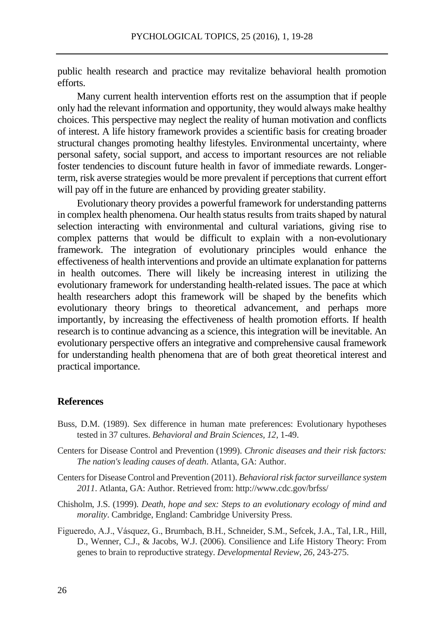public health research and practice may revitalize behavioral health promotion efforts.

Many current health intervention efforts rest on the assumption that if people only had the relevant information and opportunity, they would always make healthy choices. This perspective may neglect the reality of human motivation and conflicts of interest. A life history framework provides a scientific basis for creating broader structural changes promoting healthy lifestyles. Environmental uncertainty, where personal safety, social support, and access to important resources are not reliable foster tendencies to discount future health in favor of immediate rewards. Longerterm, risk averse strategies would be more prevalent if perceptions that current effort will pay off in the future are enhanced by providing greater stability.

Evolutionary theory provides a powerful framework for understanding patterns in complex health phenomena. Our health status results from traits shaped by natural selection interacting with environmental and cultural variations, giving rise to complex patterns that would be difficult to explain with a non-evolutionary framework. The integration of evolutionary principles would enhance the effectiveness of health interventions and provide an ultimate explanation for patterns in health outcomes. There will likely be increasing interest in utilizing the evolutionary framework for understanding health-related issues. The pace at which health researchers adopt this framework will be shaped by the benefits which evolutionary theory brings to theoretical advancement, and perhaps more importantly, by increasing the effectiveness of health promotion efforts. If health research is to continue advancing as a science, this integration will be inevitable. An evolutionary perspective offers an integrative and comprehensive causal framework for understanding health phenomena that are of both great theoretical interest and practical importance.

#### **References**

- Buss, D.M. (1989). Sex difference in human mate preferences: Evolutionary hypotheses tested in 37 cultures. *Behavioral and Brain Sciences, 12,* 1-49.
- Centers for Disease Control and Prevention (1999). *Chronic diseases and their risk factors: The nation's leading causes of death*. Atlanta, GA: Author.
- Centers for Disease Control and Prevention (2011). *Behavioral risk factor surveillance system 2011*. Atlanta, GA: Author. Retrieved from: http://www.cdc.gov/brfss/
- Chisholm, J.S. (1999). *Death, hope and sex: Steps to an evolutionary ecology of mind and morality*. Cambridge, England: Cambridge University Press.
- Figueredo, A.J., Vásquez, G., Brumbach, B.H., Schneider, S.M., Sefcek, J.A., Tal, I.R., Hill, D., Wenner, C.J., & Jacobs, W.J. (2006). Consilience and Life History Theory: From genes to brain to reproductive strategy. *Developmental Review, 26,* 243-275.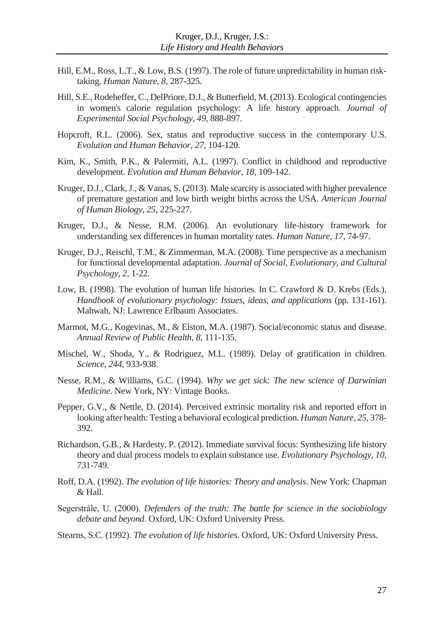- Hill, E.M., Ross, L.T., & Low, B.S. (1997). The role of future unpredictability in human risktaking. *Human Nature, 8,* 287-325.
- Hill, S.E., Rodeheffer, C., DelPriore, D.J., & Butterfield, M. (2013). Ecological contingencies in women's calorie regulation psychology: A life history approach. *Journal of Experimental Social Psychology, 49,* 888-897.
- Hopcroft, R.L. (2006). Sex, status and reproductive success in the contemporary U.S. *Evolution and Human Behavior, 27,* 104-120.
- Kim, K., Smith, P.K., & Palermiti, A.L. (1997). Conflict in childhood and reproductive development. *Evolution and Human Behavior, 18,* 109-142.
- Kruger, D.J., Clark, J., & Vanas, S. (2013). Male scarcity is associated with higher prevalence of premature gestation and low birth weight births across the USA. *American Journal of Human Biology, 25,* 225-227.
- Kruger, D.J., & Nesse, R.M. (2006). An evolutionary life-history framework for understanding sex differences in human mortality rates. *Human Nature, 17,* 74-97.
- Kruger, D.J., Reischl, T.M., & Zimmerman, M.A. (2008). Time perspective as a mechanism for functional developmental adaptation. *Journal of Social, Evolutionary, and Cultural Psychology, 2,* 1-22.
- Low, B. (1998). The evolution of human life histories. In C. Crawford & D. Krebs (Eds.), *Handbook of evolutionary psychology: Issues, ideas, and applications* (pp. 131-161). Mahwah, NJ: Lawrence Erlbaum Associates.
- Marmot, M.G., Kogevinas, M., & Elston, M.A. (1987). Social/economic status and disease. *Annual Review of Public Health, 8,* 111-135.
- Mischel, W., Shoda, Y., & Rodriguez, M.L. (1989). Delay of gratification in children. *Science, 244,* 933-938.
- Nesse, R.M., & Williams, G.C. (1994). *Why we get sick: The new science of Darwinian Medicine*. New York, NY: Vintage Books.
- Pepper, G.V., & Nettle, D. (2014). Perceived extrinsic mortality risk and reported effort in looking after health: Testing a behavioral ecological prediction. *Human Nature, 25,* 378- 392.
- Richardson, G.B., & Hardesty, P. (2012). Immediate survival focus: Synthesizing life history theory and dual process models to explain substance use. *Evolutionary Psychology, 10,* 731-749.
- Roff, D.A. (1992). *The evolution of life histories: Theory and analysis*. New York: Chapman & Hall.
- Segerstråle, U. (2000). *Defenders of the truth: The battle for science in the sociobiology debate and beyond*. Oxford, UK: Oxford University Press.
- Stearns, S.C. (1992). *The evolution of life histories*. Oxford, UK: Oxford University Press.